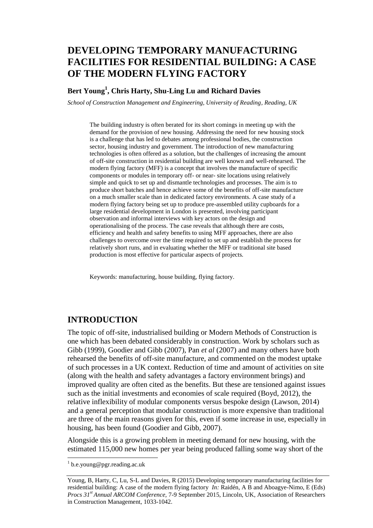# **DEVELOPING TEMPORARY MANUFACTURING FACILITIES FOR RESIDENTIAL BUILDING: A CASE OF THE MODERN FLYING FACTORY**

### **Bert Young<sup>1</sup> , Chris Harty, Shu-Ling Lu and Richard Davies**

*School of Construction Management and Engineering, University of Reading, Reading, UK*

The building industry is often berated for its short comings in meeting up with the demand for the provision of new housing. Addressing the need for new housing stock is a challenge that has led to debates among professional bodies, the construction sector, housing industry and government. The introduction of new manufacturing technologies is often offered as a solution, but the challenges of increasing the amount of off-site construction in residential building are well known and well-rehearsed. The modern flying factory (MFF) is a concept that involves the manufacture of specific components or modules in temporary off- or near- site locations using relatively simple and quick to set up and dismantle technologies and processes. The aim is to produce short batches and hence achieve some of the benefits of off-site manufacture on a much smaller scale than in dedicated factory environments. A case study of a modern flying factory being set up to produce pre-assembled utility cupboards for a large residential development in London is presented, involving participant observation and informal interviews with key actors on the design and operationalising of the process. The case reveals that although there are costs, efficiency and health and safety benefits to using MFF approaches, there are also challenges to overcome over the time required to set up and establish the process for relatively short runs, and in evaluating whether the MFF or traditional site based production is most effective for particular aspects of projects.

Keywords: manufacturing, house building, flying factory.

#### **INTRODUCTION**

The topic of off-site, industrialised building or Modern Methods of Construction is one which has been debated considerably in construction. Work by scholars such as Gibb (1999), Goodier and Gibb (2007), Pan *et al* (2007) and many others have both rehearsed the benefits of off-site manufacture, and commented on the modest uptake of such processes in a UK context. Reduction of time and amount of activities on site (along with the health and safety advantages a factory environment brings) and improved quality are often cited as the benefits. But these are tensioned against issues such as the initial investments and economies of scale required (Boyd, 2012), the relative inflexibility of modular components versus bespoke design (Lawson, 2014) and a general perception that modular construction is more expensive than traditional are three of the main reasons given for this, even if some increase in use, especially in housing, has been found (Goodier and Gibb, 2007).

Alongside this is a growing problem in meeting demand for new housing, with the estimated 115,000 new homes per year being produced falling some way short of the

<sup>&</sup>lt;sup>1</sup> b.e.young@pgr.reading.ac.uk

Young, B, Harty, C, Lu, S-L and Davies, R (2015) Developing temporary manufacturing facilities for residential building: A case of the modern flying factory *In:* Raidén, A B and Aboagye-Nimo, E (Eds) *Procs 31st Annual ARCOM Conference,* 7-9 September 2015, Lincoln, UK, Association of Researchers in Construction Management, 1033-1042.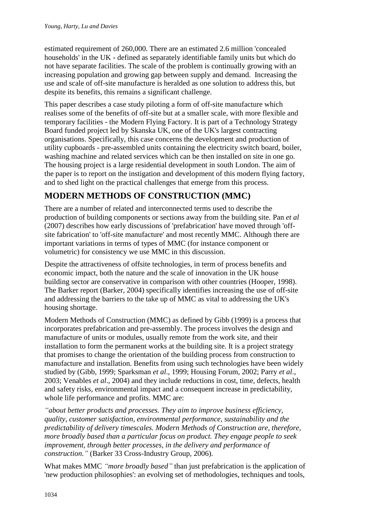estimated requirement of 260,000. There are an estimated 2.6 million 'concealed households' in the UK - defined as separately identifiable family units but which do not have separate facilities. The scale of the problem is continually growing with an increasing population and growing gap between supply and demand. Increasing the use and scale of off-site manufacture is heralded as one solution to address this, but despite its benefits, this remains a significant challenge.

This paper describes a case study piloting a form of off-site manufacture which realises some of the benefits of off-site but at a smaller scale, with more flexible and temporary facilities - the Modern Flying Factory. It is part of a Technology Strategy Board funded project led by Skanska UK, one of the UK's largest contracting organisations. Specifically, this case concerns the development and production of utility cupboards - pre-assembled units containing the electricity switch board, boiler, washing machine and related services which can be then installed on site in one go. The housing project is a large residential development in south London. The aim of the paper is to report on the instigation and development of this modern flying factory, and to shed light on the practical challenges that emerge from this process.

## **MODERN METHODS OF CONSTRUCTION (MMC)**

There are a number of related and interconnected terms used to describe the production of building components or sections away from the building site. Pan *et al* (2007) describes how early discussions of 'prefabrication' have moved through 'offsite fabrication' to 'off-site manufacture' and most recently MMC. Although there are important variations in terms of types of MMC (for instance component or volumetric) for consistency we use MMC in this discussion.

Despite the attractiveness of offsite technologies, in term of process benefits and economic impact, both the nature and the scale of innovation in the UK house building sector are conservative in comparison with other countries (Hooper, 1998). The Barker report (Barker, 2004) specifically identifies increasing the use of off-site and addressing the barriers to the take up of MMC as vital to addressing the UK's housing shortage.

Modern Methods of Construction (MMC) as defined by Gibb (1999) is a process that incorporates prefabrication and pre-assembly. The process involves the design and manufacture of units or modules, usually remote from the work site, and their installation to form the permanent works at the building site. It is a project strategy that promises to change the orientation of the building process from construction to manufacture and installation. Benefits from using such technologies have been widely studied by (Gibb, 1999; Sparksman *et al*., 1999; Housing Forum, 2002; Parry *et al*., 2003; Venables *et al*., 2004) and they include reductions in cost, time, defects, health and safety risks, environmental impact and a consequent increase in predictability, whole life performance and profits. MMC are:

*"about better products and processes. They aim to improve business efficiency, quality, customer satisfaction, environmental performance, sustainability and the predictability of delivery timescales. Modern Methods of Construction are, therefore, more broadly based than a particular focus on product. They engage people to seek improvement, through better processes, in the delivery and performance of construction."* (Barker 33 Cross-Industry Group, 2006).

What makes MMC *"more broadly based"* than just prefabrication is the application of 'new production philosophies': an evolving set of methodologies, techniques and tools,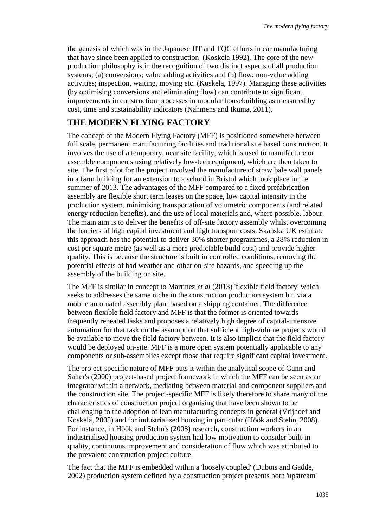the genesis of which was in the Japanese JIT and TQC efforts in car manufacturing that have since been applied to construction (Koskela 1992). The core of the new production philosophy is in the recognition of two distinct aspects of all production systems; (a) conversions; value adding activities and (b) flow; non-value adding activities; inspection, waiting, moving etc. (Koskela, 1997). Managing these activities (by optimising conversions and eliminating flow) can contribute to significant improvements in construction processes in modular housebuilding as measured by cost, time and sustainability indicators (Nahmens and Ikuma, 2011).

### **THE MODERN FLYING FACTORY**

The concept of the Modern Flying Factory (MFF) is positioned somewhere between full scale, permanent manufacturing facilities and traditional site based construction. It involves the use of a temporary, near site facility, which is used to manufacture or assemble components using relatively low-tech equipment, which are then taken to site. The first pilot for the project involved the manufacture of straw bale wall panels in a farm building for an extension to a school in Bristol which took place in the summer of 2013. The advantages of the MFF compared to a fixed prefabrication assembly are flexible short term leases on the space, low capital intensity in the production system, minimising transportation of volumetric components (and related energy reduction benefits), and the use of local materials and, where possible, labour. The main aim is to deliver the benefits of off-site factory assembly whilst overcoming the barriers of high capital investment and high transport costs. Skanska UK estimate this approach has the potential to deliver 30% shorter programmes, a 28% reduction in cost per square metre (as well as a more predictable build cost) and provide higherquality. This is because the structure is built in controlled conditions, removing the potential effects of bad weather and other on-site hazards, and speeding up the assembly of the building on site.

The MFF is similar in concept to Martinez *et al* (2013) 'flexible field factory' which seeks to addresses the same niche in the construction production system but via a mobile automated assembly plant based on a shipping container. The difference between flexible field factory and MFF is that the former is oriented towards frequently repeated tasks and proposes a relatively high degree of capital-intensive automation for that task on the assumption that sufficient high-volume projects would be available to move the field factory between. It is also implicit that the field factory would be deployed on-site. MFF is a more open system potentially applicable to any components or sub-assemblies except those that require significant capital investment.

The project-specific nature of MFF puts it within the analytical scope of Gann and Salter's (2000) project-based project framework in which the MFF can be seen as an integrator within a network, mediating between material and component suppliers and the construction site. The project-specific MFF is likely therefore to share many of the characteristics of construction project organising that have been shown to be challenging to the adoption of lean manufacturing concepts in general (Vrijhoef and Koskela, 2005) and for industrialised housing in particular (Höök and Stehn, 2008). For instance, in Höök and Stehn's (2008) research, construction workers in an industrialised housing production system had low motivation to consider built-in quality, continuous improvement and consideration of flow which was attributed to the prevalent construction project culture.

The fact that the MFF is embedded within a 'loosely coupled' (Dubois and Gadde, 2002) production system defined by a construction project presents both 'upstream'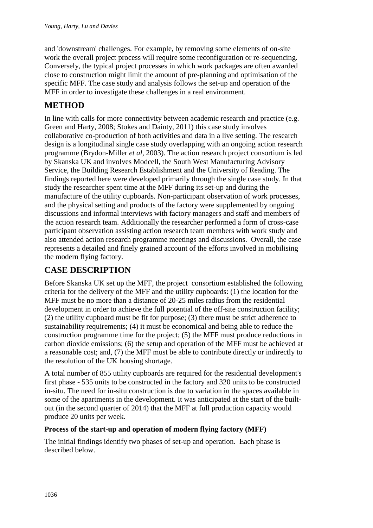and 'downstream' challenges. For example, by removing some elements of on-site work the overall project process will require some reconfiguration or re-sequencing. Conversely, the typical project processes in which work packages are often awarded close to construction might limit the amount of pre-planning and optimisation of the specific MFF. The case study and analysis follows the set-up and operation of the MFF in order to investigate these challenges in a real environment.

## **METHOD**

In line with calls for more connectivity between academic research and practice (e.g. Green and Harty, 2008; Stokes and Dainty, 2011) this case study involves collaborative co-production of both activities and data in a live setting. The research design is a longitudinal single case study overlapping with an ongoing action research programme (Brydon-Miller *et al*, 2003). The action research project consortium is led by Skanska UK and involves Modcell, the South West Manufacturing Advisory Service, the Building Research Establishment and the University of Reading. The findings reported here were developed primarily through the single case study. In that study the researcher spent time at the MFF during its set-up and during the manufacture of the utility cupboards. Non-participant observation of work processes, and the physical setting and products of the factory were supplemented by ongoing discussions and informal interviews with factory managers and staff and members of the action research team. Additionally the researcher performed a form of cross-case participant observation assisting action research team members with work study and also attended action research programme meetings and discussions. Overall, the case represents a detailed and finely grained account of the efforts involved in mobilising the modern flying factory.

# **CASE DESCRIPTION**

Before Skanska UK set up the MFF, the project consortium established the following criteria for the delivery of the MFF and the utility cupboards: (1) the location for the MFF must be no more than a distance of 20-25 miles radius from the residential development in order to achieve the full potential of the off-site construction facility; (2) the utility cupboard must be fit for purpose; (3) there must be strict adherence to sustainability requirements; (4) it must be economical and being able to reduce the construction programme time for the project; (5) the MFF must produce reductions in carbon dioxide emissions; (6) the setup and operation of the MFF must be achieved at a reasonable cost; and, (7) the MFF must be able to contribute directly or indirectly to the resolution of the UK housing shortage.

A total number of 855 utility cupboards are required for the residential development's first phase - 535 units to be constructed in the factory and 320 units to be constructed in-situ. The need for in-situ construction is due to variation in the spaces available in some of the apartments in the development. It was anticipated at the start of the builtout (in the second quarter of 2014) that the MFF at full production capacity would produce 20 units per week.

### **Process of the start-up and operation of modern flying factory (MFF)**

The initial findings identify two phases of set-up and operation. Each phase is described below.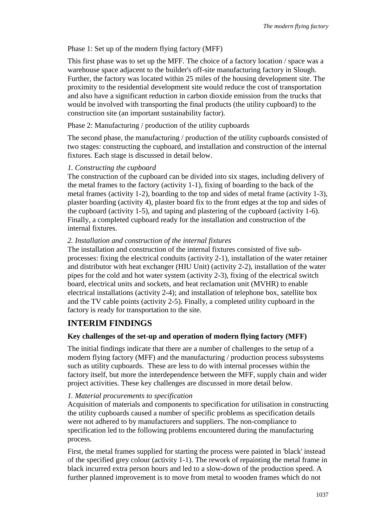#### Phase 1: Set up of the modern flying factory (MFF)

This first phase was to set up the MFF. The choice of a factory location / space was a warehouse space adjacent to the builder's off-site manufacturing factory in Slough. Further, the factory was located within 25 miles of the housing development site. The proximity to the residential development site would reduce the cost of transportation and also have a significant reduction in carbon dioxide emission from the trucks that would be involved with transporting the final products (the utility cupboard) to the construction site (an important sustainability factor).

Phase 2: Manufacturing / production of the utility cupboards

The second phase, the manufacturing / production of the utility cupboards consisted of two stages: constructing the cupboard, and installation and construction of the internal fixtures. Each stage is discussed in detail below.

#### *1. Constructing the cupboard*

The construction of the cupboard can be divided into six stages, including delivery of the metal frames to the factory (activity 1-1), fixing of boarding to the back of the metal frames (activity 1-2), boarding to the top and sides of metal frame (activity 1-3), plaster boarding (activity 4), plaster board fix to the front edges at the top and sides of the cupboard (activity 1-5), and taping and plastering of the cupboard (activity 1-6). Finally, a completed cupboard ready for the installation and construction of the internal fixtures.

#### *2. Installation and construction of the internal fixtures*

The installation and construction of the internal fixtures consisted of five subprocesses: fixing the electrical conduits (activity 2-1), installation of the water retainer and distributor with heat exchanger (HIU Unit) (activity 2-2), installation of the water pipes for the cold and hot water system (activity 2-3), fixing of the electrical switch board, electrical units and sockets, and heat reclamation unit (MVHR) to enable electrical installations (activity 2-4); and installation of telephone box, satellite box and the TV cable points (activity 2-5). Finally, a completed utility cupboard in the factory is ready for transportation to the site.

## **INTERIM FINDINGS**

### **Key challenges of the set-up and operation of modern flying factory (MFF)**

The initial findings indicate that there are a number of challenges to the setup of a modern flying factory (MFF) and the manufacturing / production process subsystems such as utility cupboards. These are less to do with internal processes within the factory itself, but more the interdependence between the MFF, supply chain and wider project activities. These key challenges are discussed in more detail below.

#### *1. Material procurements to specification*

Acquisition of materials and components to specification for utilisation in constructing the utility cupboards caused a number of specific problems as specification details were not adhered to by manufacturers and suppliers. The non-compliance to specification led to the following problems encountered during the manufacturing process.

First, the metal frames supplied for starting the process were painted in 'black' instead of the specified grey colour (activity 1-1). The rework of repainting the metal frame in black incurred extra person hours and led to a slow-down of the production speed. A further planned improvement is to move from metal to wooden frames which do not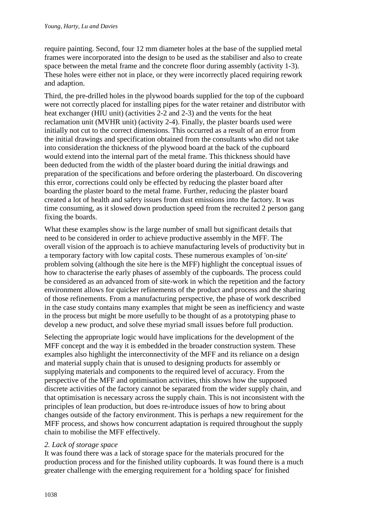require painting. Second, four 12 mm diameter holes at the base of the supplied metal frames were incorporated into the design to be used as the stabiliser and also to create space between the metal frame and the concrete floor during assembly (activity 1-3). These holes were either not in place, or they were incorrectly placed requiring rework and adaption.

Third, the pre-drilled holes in the plywood boards supplied for the top of the cupboard were not correctly placed for installing pipes for the water retainer and distributor with heat exchanger (HIU unit) (activities 2-2 and 2-3) and the vents for the heat reclamation unit (MVHR unit) (activity 2-4). Finally, the plaster boards used were initially not cut to the correct dimensions. This occurred as a result of an error from the initial drawings and specification obtained from the consultants who did not take into consideration the thickness of the plywood board at the back of the cupboard would extend into the internal part of the metal frame. This thickness should have been deducted from the width of the plaster board during the initial drawings and preparation of the specifications and before ordering the plasterboard. On discovering this error, corrections could only be effected by reducing the plaster board after boarding the plaster board to the metal frame. Further, reducing the plaster board created a lot of health and safety issues from dust emissions into the factory. It was time consuming, as it slowed down production speed from the recruited 2 person gang fixing the boards.

What these examples show is the large number of small but significant details that need to be considered in order to achieve productive assembly in the MFF. The overall vision of the approach is to achieve manufacturing levels of productivity but in a temporary factory with low capital costs. These numerous examples of 'on-site' problem solving (although the site here is the MFF) highlight the conceptual issues of how to characterise the early phases of assembly of the cupboards. The process could be considered as an advanced from of site-work in which the repetition and the factory environment allows for quicker refinements of the product and process and the sharing of those refinements. From a manufacturing perspective, the phase of work described in the case study contains many examples that might be seen as inefficiency and waste in the process but might be more usefully to be thought of as a prototyping phase to develop a new product, and solve these myriad small issues before full production.

Selecting the appropriate logic would have implications for the development of the MFF concept and the way it is embedded in the broader construction system. These examples also highlight the interconnectivity of the MFF and its reliance on a design and material supply chain that is unused to designing products for assembly or supplying materials and components to the required level of accuracy. From the perspective of the MFF and optimisation activities, this shows how the supposed discrete activities of the factory cannot be separated from the wider supply chain, and that optimisation is necessary across the supply chain. This is not inconsistent with the principles of lean production, but does re-introduce issues of how to bring about changes outside of the factory environment. This is perhaps a new requirement for the MFF process, and shows how concurrent adaptation is required throughout the supply chain to mobilise the MFF effectively.

#### *2. Lack of storage space*

It was found there was a lack of storage space for the materials procured for the production process and for the finished utility cupboards. It was found there is a much greater challenge with the emerging requirement for a 'holding space' for finished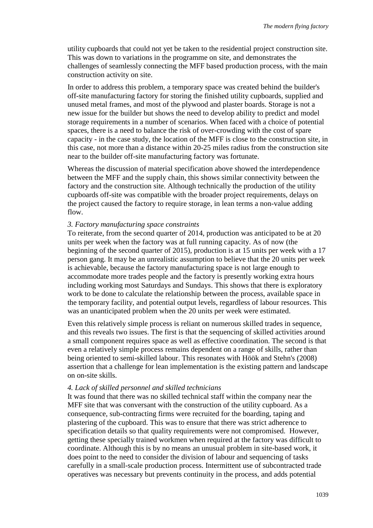utility cupboards that could not yet be taken to the residential project construction site. This was down to variations in the programme on site, and demonstrates the challenges of seamlessly connecting the MFF based production process, with the main construction activity on site.

In order to address this problem, a temporary space was created behind the builder's off-site manufacturing factory for storing the finished utility cupboards, supplied and unused metal frames, and most of the plywood and plaster boards. Storage is not a new issue for the builder but shows the need to develop ability to predict and model storage requirements in a number of scenarios. When faced with a choice of potential spaces, there is a need to balance the risk of over-crowding with the cost of spare capacity - in the case study, the location of the MFF is close to the construction site, in this case, not more than a distance within 20-25 miles radius from the construction site near to the builder off-site manufacturing factory was fortunate.

Whereas the discussion of material specification above showed the interdependence between the MFF and the supply chain, this shows similar connectivity between the factory and the construction site. Although technically the production of the utility cupboards off-site was compatible with the broader project requirements, delays on the project caused the factory to require storage, in lean terms a non-value adding flow.

#### *3. Factory manufacturing space constraints*

To reiterate, from the second quarter of 2014, production was anticipated to be at 20 units per week when the factory was at full running capacity. As of now (the beginning of the second quarter of 2015), production is at 15 units per week with a 17 person gang. It may be an unrealistic assumption to believe that the 20 units per week is achievable, because the factory manufacturing space is not large enough to accommodate more trades people and the factory is presently working extra hours including working most Saturdays and Sundays. This shows that there is exploratory work to be done to calculate the relationship between the process, available space in the temporary facility, and potential output levels, regardless of labour resources. This was an unanticipated problem when the 20 units per week were estimated.

Even this relatively simple process is reliant on numerous skilled trades in sequence, and this reveals two issues. The first is that the sequencing of skilled activities around a small component requires space as well as effective coordination. The second is that even a relatively simple process remains dependent on a range of skills, rather than being oriented to semi-skilled labour. This resonates with Höök and Stehn's (2008) assertion that a challenge for lean implementation is the existing pattern and landscape on on-site skills.

#### *4. Lack of skilled personnel and skilled technicians*

It was found that there was no skilled technical staff within the company near the MFF site that was conversant with the construction of the utility cupboard. As a consequence, sub-contracting firms were recruited for the boarding, taping and plastering of the cupboard. This was to ensure that there was strict adherence to specification details so that quality requirements were not compromised. However, getting these specially trained workmen when required at the factory was difficult to coordinate. Although this is by no means an unusual problem in site-based work, it does point to the need to consider the division of labour and sequencing of tasks carefully in a small-scale production process. Intermittent use of subcontracted trade operatives was necessary but prevents continuity in the process, and adds potential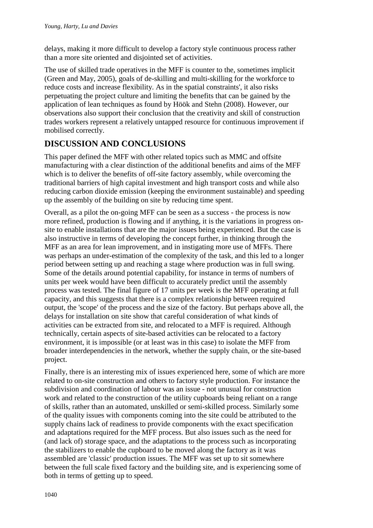delays, making it more difficult to develop a factory style continuous process rather than a more site oriented and disjointed set of activities.

The use of skilled trade operatives in the MFF is counter to the, sometimes implicit (Green and May, 2005), goals of de-skilling and multi-skilling for the workforce to reduce costs and increase flexibility. As in the spatial constraints', it also risks perpetuating the project culture and limiting the benefits that can be gained by the application of lean techniques as found by Höök and Stehn (2008). However, our observations also support their conclusion that the creativity and skill of construction trades workers represent a relatively untapped resource for continuous improvement if mobilised correctly.

# **DISCUSSION AND CONCLUSIONS**

This paper defined the MFF with other related topics such as MMC and offsite manufacturing with a clear distinction of the additional benefits and aims of the MFF which is to deliver the benefits of off-site factory assembly, while overcoming the traditional barriers of high capital investment and high transport costs and while also reducing carbon dioxide emission (keeping the environment sustainable) and speeding up the assembly of the building on site by reducing time spent.

Overall, as a pilot the on-going MFF can be seen as a success - the process is now more refined, production is flowing and if anything, it is the variations in progress onsite to enable installations that are the major issues being experienced. But the case is also instructive in terms of developing the concept further, in thinking through the MFF as an area for lean improvement, and in instigating more use of MFFs. There was perhaps an under-estimation of the complexity of the task, and this led to a longer period between setting up and reaching a stage where production was in full swing. Some of the details around potential capability, for instance in terms of numbers of units per week would have been difficult to accurately predict until the assembly process was tested. The final figure of 17 units per week is the MFF operating at full capacity, and this suggests that there is a complex relationship between required output, the 'scope' of the process and the size of the factory. But perhaps above all, the delays for installation on site show that careful consideration of what kinds of activities can be extracted from site, and relocated to a MFF is required. Although technically, certain aspects of site-based activities can be relocated to a factory environment, it is impossible (or at least was in this case) to isolate the MFF from broader interdependencies in the network, whether the supply chain, or the site-based project.

Finally, there is an interesting mix of issues experienced here, some of which are more related to on-site construction and others to factory style production. For instance the subdivision and coordination of labour was an issue - not unusual for construction work and related to the construction of the utility cupboards being reliant on a range of skills, rather than an automated, unskilled or semi-skilled process. Similarly some of the quality issues with components coming into the site could be attributed to the supply chains lack of readiness to provide components with the exact specification and adaptations required for the MFF process. But also issues such as the need for (and lack of) storage space, and the adaptations to the process such as incorporating the stabilizers to enable the cupboard to be moved along the factory as it was assembled are 'classic' production issues. The MFF was set up to sit somewhere between the full scale fixed factory and the building site, and is experiencing some of both in terms of getting up to speed.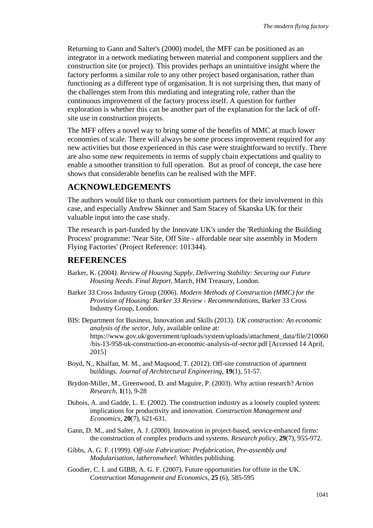Returning to Gann and Salter's (2000) model, the MFF can be positioned as an integrator in a network mediating between material and component suppliers and the construction site (or project). This provides perhaps an unintuitive insight where the factory performs a similar role to any other project based organisation, rather than functioning as a different type of organisation. It is not surprising then, that many of the challenges stem from this mediating and integrating role, rather than the continuous improvement of the factory process itself. A question for further exploration is whether this can be another part of the explanation for the lack of offsite use in construction projects.

The MFF offers a novel way to bring some of the benefits of MMC at much lower economies of scale. There will always be some process improvement required for any new activities but those experienced in this case were straightforward to rectify. There are also some new requirements in terms of supply chain expectations and quality to enable a smoother transition to full operation. But as proof of concept, the case here shows that considerable benefits can be realised with the MFF.

### **ACKNOWLEDGEMENTS**

The authors would like to thank our consortium partners for their involvement in this case, and especially Andrew Skinner and Sam Stacey of Skanska UK for their valuable input into the case study.

The research is part-funded by the Innovate UK's under the 'Rethinking the Building Process' programme: 'Near Site, Off Site - affordable near site assembly in Modern Flying Factories' (Project Reference: 101344).

### **REFERENCES**

- Barker, K. (2004*). Review of Housing Supply, Delivering Stability: Securing our Future Housing Needs. Final Report*, March, HM Treasury, London.
- Barker 33 Cross Industry Group (2006). *Modern Methods of Construction (MMC) for the Provision of Housing*: *Barker 33 Review - Recommendations*, Barker 33 Cross Industry Group, London.
- BIS: Department for Business, Innovation and Skills (2013). *UK construction: An economic analysis of the sector*, July, available online at: https://www.gov.uk/government/uploads/system/uploads/attachment\_data/file/210060 /bis-13-958-uk-construction-an-economic-analysis-of-sector.pdf [Accessed 14 April, 2015]
- Boyd, N., Khalfan, M. M., and Maqsood, T. (2012). Off-site construction of apartment buildings. *Journal of Architectural Engineering*, **19**(1), 51-57.
- Brydon-Miller, M., Greenwood, D. and Maguire, P. (2003). Why action research? *Action Research*, **1**(1), 9-28
- Dubois, A. and Gadde, L. E. (2002). The construction industry as a loosely coupled system: implications for productivity and innovation. *Construction Management and Economics*, **20**(7), 621-631.
- Gann, D. M., and Salter, A. J. (2000). Innovation in project-based, service-enhanced firms: the construction of complex products and systems. *Research policy*, **29**(7), 955-972.
- Gibbs, A. G. F. (1999). O*ff-site Fabrication: Prefabrication, Pre-assembly and Modularisation, latheronwheel*: Whittles publishing.
- Goodier, C. I. and GIBB, A. G. F. (2007). Future opportunities for offsite in the UK. *Construction Management and Economics*, **25** (6), 585-595